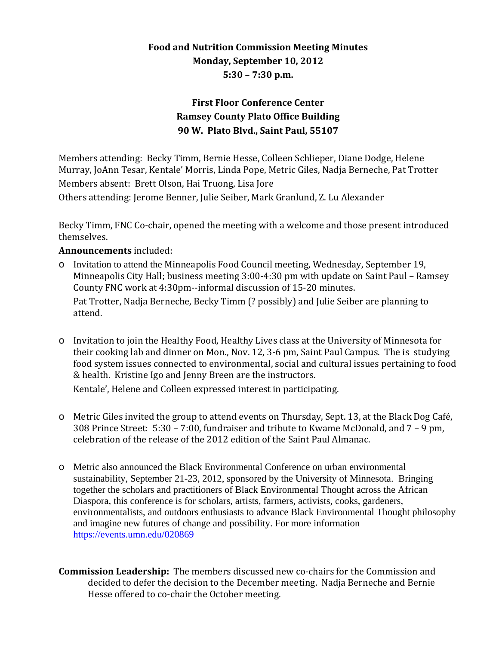## **Food and Nutrition Commission Meeting Minutes Monday, September 10, 2012 5:30 – 7:30 p.m.**

## **First Floor Conference Center Ramsey County Plato Office Building 90 W. Plato Blvd., Saint Paul, 55107**

Members attending: Becky Timm, Bernie Hesse, Colleen Schlieper, Diane Dodge, Helene Murray, JoAnn Tesar, Kentale' Morris, Linda Pope, Metric Giles, Nadja Berneche, Pat Trotter Members absent: Brett Olson, Hai Truong, Lisa Jore

Others attending: Jerome Benner, Julie Seiber, Mark Granlund, Z. Lu Alexander

Becky Timm, FNC Co-chair, opened the meeting with a welcome and those present introduced themselves.

## **Announcements** included:

o Invitation to attend the Minneapolis Food Council meeting, Wednesday, September 19, Minneapolis City Hall; business meeting 3:00-4:30 pm with update on Saint Paul – Ramsey County FNC work at 4:30pm--informal discussion of 15-20 minutes.

Pat Trotter, Nadja Berneche, Becky Timm (? possibly) and Julie Seiber are planning to attend.

o Invitation to join the Healthy Food, Healthy Lives class at the University of Minnesota for their cooking lab and dinner on Mon., Nov. 12, 3-6 pm, Saint Paul Campus. The is studying food system issues connected to environmental, social and cultural issues pertaining to food & health. Kristine Igo and Jenny Breen are the instructors.

Kentale', Helene and Colleen expressed interest in participating.

- o Metric Giles invited the group to attend events on Thursday, Sept. 13, at the Black Dog Café, 308 Prince Street: 5:30 – 7:00, fundraiser and tribute to Kwame McDonald, and 7 – 9 pm, celebration of the release of the 2012 edition of the Saint Paul Almanac.
- o Metric also announced the Black Environmental Conference on urban environmental sustainability, September 21-23, 2012, sponsored by the University of Minnesota. Bringing together the scholars and practitioners of Black Environmental Thought across the African Diaspora, this conference is for scholars, artists, farmers, activists, cooks, gardeners, environmentalists, and outdoors enthusiasts to advance Black Environmental Thought philosophy and imagine new futures of change and possibility. For more information <https://events.umn.edu/020869>
- **Commission Leadership:** The members discussed new co-chairs for the Commission and decided to defer the decision to the December meeting. Nadja Berneche and Bernie Hesse offered to co-chair the October meeting.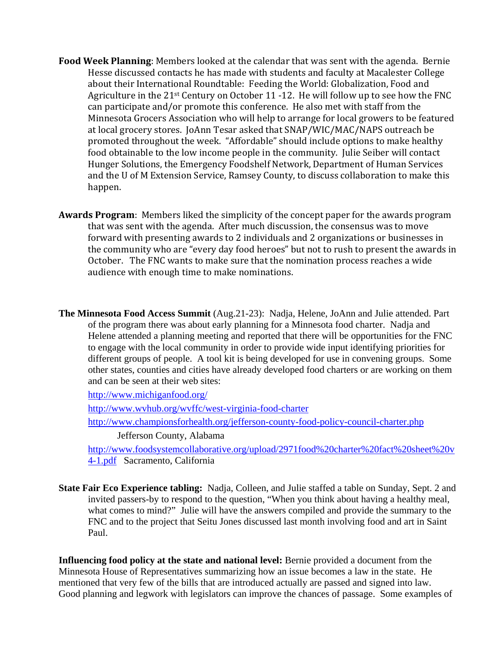- **Food Week Planning**: Members looked at the calendar that was sent with the agenda. Bernie Hesse discussed contacts he has made with students and faculty at Macalester College about their International Roundtable: Feeding the World: Globalization, Food and Agriculture in the 21st Century on October 11 -12. He will follow up to see how the FNC can participate and/or promote this conference. He also met with staff from the Minnesota Grocers Association who will help to arrange for local growers to be featured at local grocery stores. JoAnn Tesar asked that SNAP/WIC/MAC/NAPS outreach be promoted throughout the week. "Affordable" should include options to make healthy food obtainable to the low income people in the community. Julie Seiber will contact Hunger Solutions, the Emergency Foodshelf Network, Department of Human Services and the U of M Extension Service, Ramsey County, to discuss collaboration to make this happen.
- **Awards Program**: Members liked the simplicity of the concept paper for the awards program that was sent with the agenda. After much discussion, the consensus was to move forward with presenting awards to 2 individuals and 2 organizations or businesses in the community who are "every day food heroes" but not to rush to present the awards in October. The FNC wants to make sure that the nomination process reaches a wide audience with enough time to make nominations.
- **The Minnesota Food Access Summit** (Aug.21-23): Nadja, Helene, JoAnn and Julie attended. Part of the program there was about early planning for a Minnesota food charter. Nadja and Helene attended a planning meeting and reported that there will be opportunities for the FNC to engage with the local community in order to provide wide input identifying priorities for different groups of people. A tool kit is being developed for use in convening groups. Some other states, counties and cities have already developed food charters or are working on them and can be seen at their web sites:

<http://www.michiganfood.org/>

<http://www.wvhub.org/wvffc/west-virginia-food-charter> <http://www.championsforhealth.org/jefferson-county-food-policy-council-charter.php>

Jefferson County, Alabama

[http://www.foodsystemcollaborative.org/upload/2971food%20charter%20fact%20sheet%20v](http://www.foodsystemcollaborative.org/upload/2971food%20charter%20fact%20sheet%20v4-1.pdf) [4-1.pdf](http://www.foodsystemcollaborative.org/upload/2971food%20charter%20fact%20sheet%20v4-1.pdf) Sacramento, California

**State Fair Eco Experience tabling:** Nadja, Colleen, and Julie staffed a table on Sunday, Sept. 2 and invited passers-by to respond to the question, "When you think about having a healthy meal, what comes to mind?" Julie will have the answers compiled and provide the summary to the FNC and to the project that Seitu Jones discussed last month involving food and art in Saint Paul.

**Influencing food policy at the state and national level:** Bernie provided a document from the Minnesota House of Representatives summarizing how an issue becomes a law in the state. He mentioned that very few of the bills that are introduced actually are passed and signed into law. Good planning and legwork with legislators can improve the chances of passage. Some examples of